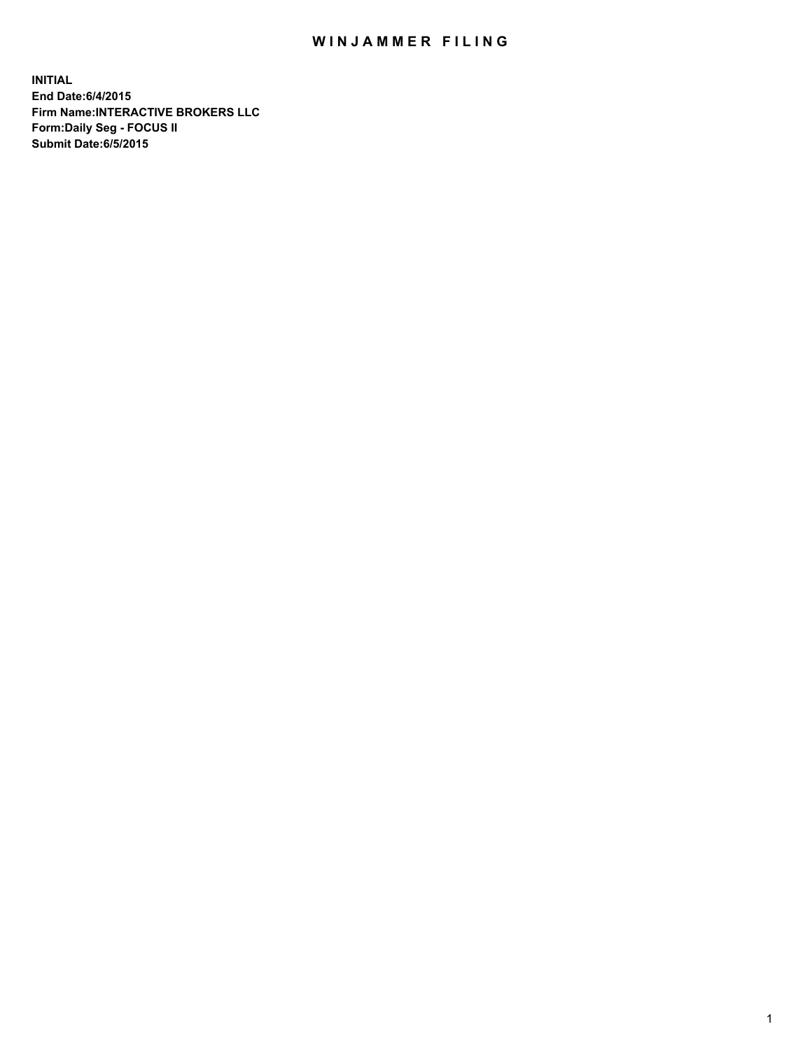## WIN JAMMER FILING

**INITIAL End Date:6/4/2015 Firm Name:INTERACTIVE BROKERS LLC Form:Daily Seg - FOCUS II Submit Date:6/5/2015**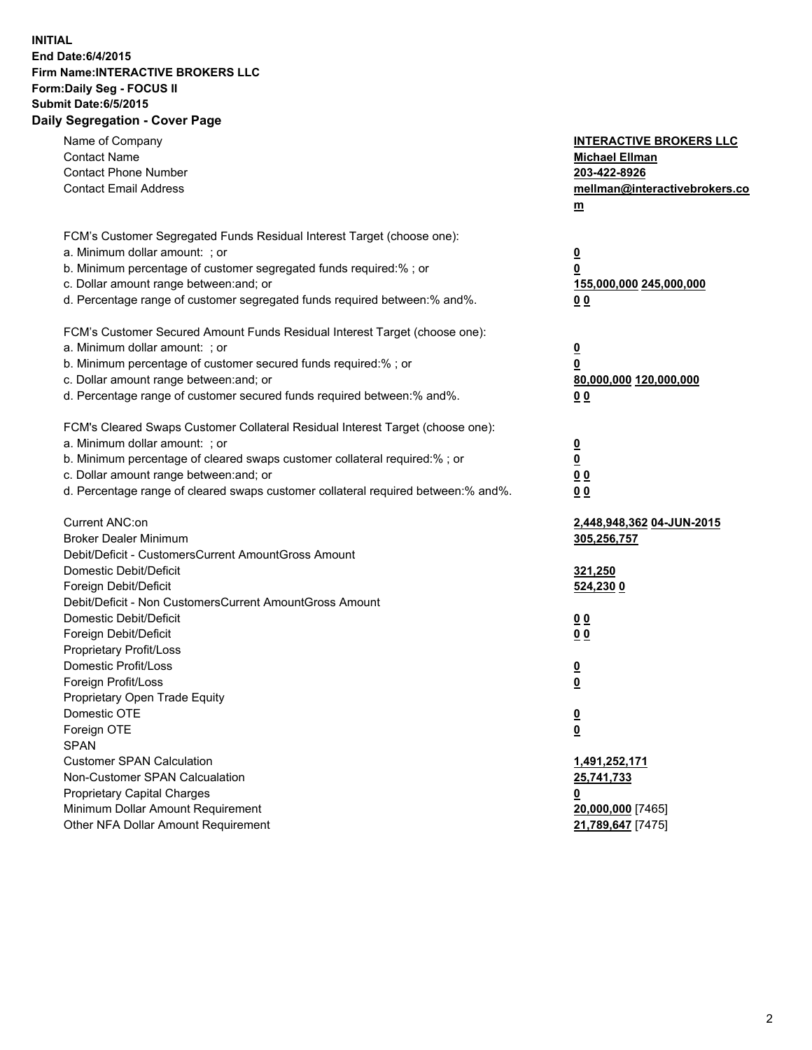## **INITIAL End Date:6/4/2015 Firm Name:INTERACTIVE BROKERS LLC Form:Daily Seg - FOCUS II Submit Date:6/5/2015 Daily Segregation - Cover Page**

| Name of Company                                                                   | <b>INTERACTIVE BROKERS LLC</b> |
|-----------------------------------------------------------------------------------|--------------------------------|
| <b>Contact Name</b>                                                               | <b>Michael Ellman</b>          |
| <b>Contact Phone Number</b>                                                       | 203-422-8926                   |
| <b>Contact Email Address</b>                                                      | mellman@interactivebrokers.co  |
|                                                                                   | $\underline{\mathbf{m}}$       |
| FCM's Customer Segregated Funds Residual Interest Target (choose one):            |                                |
| a. Minimum dollar amount: ; or                                                    | $\overline{\mathbf{0}}$        |
| b. Minimum percentage of customer segregated funds required:% ; or                | 0                              |
| c. Dollar amount range between: and; or                                           | 155,000,000 245,000,000        |
| d. Percentage range of customer segregated funds required between:% and%.         | 00                             |
| FCM's Customer Secured Amount Funds Residual Interest Target (choose one):        |                                |
| a. Minimum dollar amount: ; or                                                    | $\overline{\mathbf{0}}$        |
| b. Minimum percentage of customer secured funds required:% ; or                   | 0                              |
| c. Dollar amount range between: and; or                                           | 80,000,000 120,000,000         |
| d. Percentage range of customer secured funds required between:% and%.            | 00                             |
| FCM's Cleared Swaps Customer Collateral Residual Interest Target (choose one):    |                                |
| a. Minimum dollar amount: ; or                                                    | $\overline{\mathbf{0}}$        |
| b. Minimum percentage of cleared swaps customer collateral required:% ; or        | $\overline{\mathbf{0}}$        |
| c. Dollar amount range between: and; or                                           | 0 <sub>0</sub>                 |
| d. Percentage range of cleared swaps customer collateral required between:% and%. | 0 <sub>0</sub>                 |
|                                                                                   |                                |
| Current ANC:on                                                                    | 2,448,948,362 04-JUN-2015      |
| <b>Broker Dealer Minimum</b>                                                      | 305,256,757                    |
| Debit/Deficit - CustomersCurrent AmountGross Amount                               |                                |
| Domestic Debit/Deficit                                                            | 321,250                        |
| Foreign Debit/Deficit                                                             | 524,230 0                      |
| Debit/Deficit - Non CustomersCurrent AmountGross Amount                           |                                |
| Domestic Debit/Deficit                                                            | 0 <sub>0</sub>                 |
| Foreign Debit/Deficit                                                             | 0 <sub>0</sub>                 |
| Proprietary Profit/Loss                                                           |                                |
| Domestic Profit/Loss                                                              | $\overline{\mathbf{0}}$        |
| Foreign Profit/Loss                                                               | $\underline{\mathbf{0}}$       |
| Proprietary Open Trade Equity                                                     |                                |
| Domestic OTE                                                                      | <u>0</u>                       |
| Foreign OTE                                                                       | <u>0</u>                       |
| <b>SPAN</b>                                                                       |                                |
| <b>Customer SPAN Calculation</b>                                                  | 1,491,252,171                  |
| Non-Customer SPAN Calcualation                                                    | 25,741,733                     |
| Proprietary Capital Charges                                                       | <u>0</u>                       |
| Minimum Dollar Amount Requirement                                                 | 20,000,000 [7465]              |
| Other NFA Dollar Amount Requirement                                               | 21,789,647 [7475]              |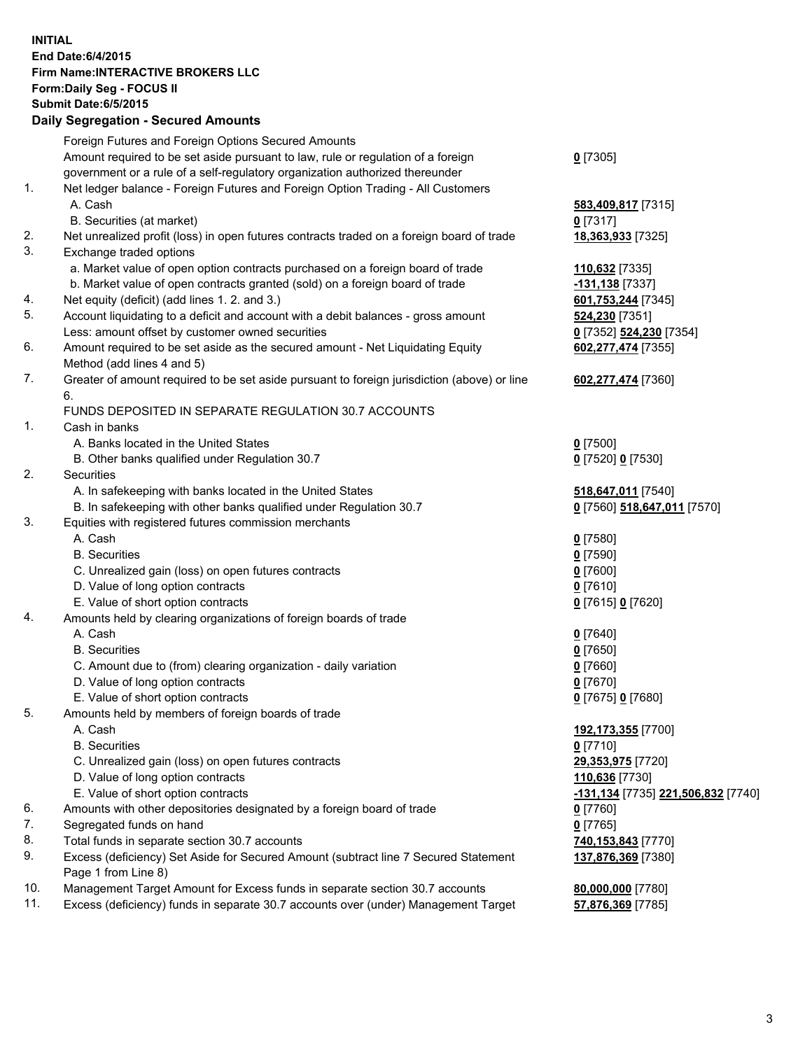## **INITIAL End Date:6/4/2015 Firm Name:INTERACTIVE BROKERS LLC Form:Daily Seg - FOCUS II Submit Date:6/5/2015 Daily Segregation - Secured Amounts**

|     | Foreign Futures and Foreign Options Secured Amounts                                         |                                    |
|-----|---------------------------------------------------------------------------------------------|------------------------------------|
|     | Amount required to be set aside pursuant to law, rule or regulation of a foreign            | $0$ [7305]                         |
|     | government or a rule of a self-regulatory organization authorized thereunder                |                                    |
| 1.  | Net ledger balance - Foreign Futures and Foreign Option Trading - All Customers             |                                    |
|     | A. Cash                                                                                     | 583,409,817 [7315]                 |
|     | B. Securities (at market)                                                                   | $0$ [7317]                         |
| 2.  | Net unrealized profit (loss) in open futures contracts traded on a foreign board of trade   | 18,363,933 [7325]                  |
| 3.  | Exchange traded options                                                                     |                                    |
|     | a. Market value of open option contracts purchased on a foreign board of trade              | 110,632 [7335]                     |
|     | b. Market value of open contracts granted (sold) on a foreign board of trade                | -131,138 [7337]                    |
| 4.  | Net equity (deficit) (add lines 1. 2. and 3.)                                               | 601,753,244 [7345]                 |
| 5.  | Account liquidating to a deficit and account with a debit balances - gross amount           | 524,230 [7351]                     |
|     | Less: amount offset by customer owned securities                                            | 0 [7352] 524,230 [7354]            |
| 6.  | Amount required to be set aside as the secured amount - Net Liquidating Equity              | 602,277,474 [7355]                 |
|     | Method (add lines 4 and 5)                                                                  |                                    |
| 7.  | Greater of amount required to be set aside pursuant to foreign jurisdiction (above) or line | 602,277,474 [7360]                 |
|     | 6.                                                                                          |                                    |
|     | FUNDS DEPOSITED IN SEPARATE REGULATION 30.7 ACCOUNTS                                        |                                    |
| 1.  | Cash in banks                                                                               |                                    |
|     | A. Banks located in the United States                                                       | $0$ [7500]                         |
|     | B. Other banks qualified under Regulation 30.7                                              | 0 [7520] 0 [7530]                  |
| 2.  | Securities                                                                                  |                                    |
|     | A. In safekeeping with banks located in the United States                                   | 518,647,011 [7540]                 |
|     | B. In safekeeping with other banks qualified under Regulation 30.7                          | 0 [7560] 518,647,011 [7570]        |
| 3.  | Equities with registered futures commission merchants                                       |                                    |
|     | A. Cash                                                                                     | $0$ [7580]                         |
|     | <b>B.</b> Securities                                                                        | $0$ [7590]                         |
|     | C. Unrealized gain (loss) on open futures contracts                                         | $0$ [7600]                         |
|     | D. Value of long option contracts                                                           | $0$ [7610]                         |
|     | E. Value of short option contracts                                                          | 0 [7615] 0 [7620]                  |
| 4.  | Amounts held by clearing organizations of foreign boards of trade                           |                                    |
|     | A. Cash                                                                                     | $0$ [7640]                         |
|     | <b>B.</b> Securities                                                                        | $0$ [7650]                         |
|     | C. Amount due to (from) clearing organization - daily variation                             | $0$ [7660]                         |
|     | D. Value of long option contracts                                                           | $0$ [7670]                         |
|     | E. Value of short option contracts                                                          | 0 [7675] 0 [7680]                  |
| 5.  | Amounts held by members of foreign boards of trade                                          |                                    |
|     | A. Cash                                                                                     | 192,173,355 [7700]                 |
|     | <b>B.</b> Securities                                                                        | $0$ [7710]                         |
|     | C. Unrealized gain (loss) on open futures contracts                                         | 29,353,975 [7720]                  |
|     | D. Value of long option contracts                                                           | 110,636 [7730]                     |
|     | E. Value of short option contracts                                                          | -131,134 [7735] 221,506,832 [7740] |
| 6.  | Amounts with other depositories designated by a foreign board of trade                      | $0$ [7760]                         |
| 7.  | Segregated funds on hand                                                                    | $0$ [7765]                         |
| 8.  | Total funds in separate section 30.7 accounts                                               | 740,153,843 [7770]                 |
| 9.  | Excess (deficiency) Set Aside for Secured Amount (subtract line 7 Secured Statement         | 137,876,369 [7380]                 |
|     | Page 1 from Line 8)                                                                         |                                    |
| 10. | Management Target Amount for Excess funds in separate section 30.7 accounts                 | 80,000,000 [7780]                  |
| 11. | Excess (deficiency) funds in separate 30.7 accounts over (under) Management Target          | 57,876,369 [7785]                  |
|     |                                                                                             |                                    |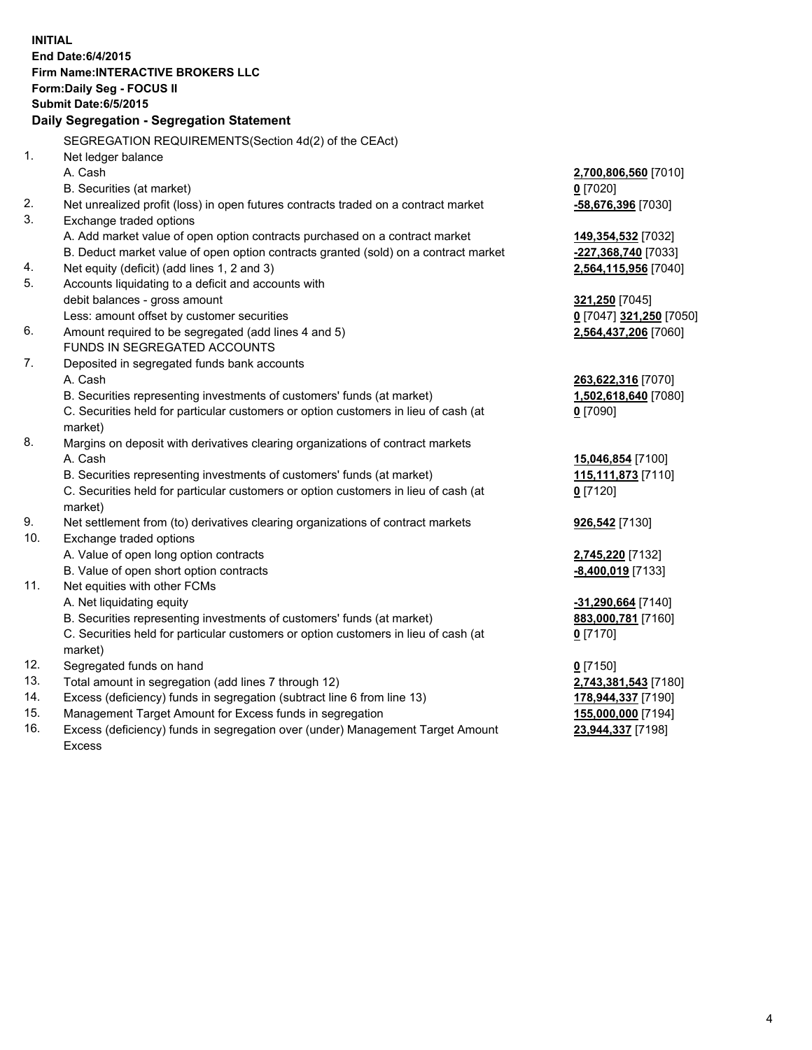**INITIAL End Date:6/4/2015 Firm Name:INTERACTIVE BROKERS LLC Form:Daily Seg - FOCUS II Submit Date:6/5/2015 Daily Segregation - Segregation Statement** SEGREGATION REQUIREMENTS(Section 4d(2) of the CEAct) 1. Net ledger balance A. Cash **2,700,806,560** [7010] B. Securities (at market) **0** [7020] 2. Net unrealized profit (loss) in open futures contracts traded on a contract market **-58,676,396** [7030] 3. Exchange traded options A. Add market value of open option contracts purchased on a contract market **149,354,532** [7032] B. Deduct market value of open option contracts granted (sold) on a contract market **-227,368,740** [7033] 4. Net equity (deficit) (add lines 1, 2 and 3) **2,564,115,956** [7040] 5. Accounts liquidating to a deficit and accounts with debit balances - gross amount **321,250** [7045] Less: amount offset by customer securities **0** [7047] **321,250** [7050] 6. Amount required to be segregated (add lines 4 and 5) **2,564,437,206** [7060] FUNDS IN SEGREGATED ACCOUNTS 7. Deposited in segregated funds bank accounts A. Cash **263,622,316** [7070] B. Securities representing investments of customers' funds (at market) **1,502,618,640** [7080] C. Securities held for particular customers or option customers in lieu of cash (at market) **0** [7090] 8. Margins on deposit with derivatives clearing organizations of contract markets A. Cash **15,046,854** [7100] B. Securities representing investments of customers' funds (at market) **115,111,873** [7110] C. Securities held for particular customers or option customers in lieu of cash (at market) **0** [7120] 9. Net settlement from (to) derivatives clearing organizations of contract markets **926,542** [7130] 10. Exchange traded options A. Value of open long option contracts **2,745,220** [7132] B. Value of open short option contracts **and the set of open short option contracts -8,400,019** [7133] 11. Net equities with other FCMs A. Net liquidating equity **-31,290,664** [7140] B. Securities representing investments of customers' funds (at market) **883,000,781** [7160] C. Securities held for particular customers or option customers in lieu of cash (at market) **0** [7170] 12. Segregated funds on hand **0** [7150] 13. Total amount in segregation (add lines 7 through 12) **2,743,381,543** [7180] 14. Excess (deficiency) funds in segregation (subtract line 6 from line 13) **178,944,337** [7190] 15. Management Target Amount for Excess funds in segregation **155,000,000** [7194] **23,944,337** [7198]

16. Excess (deficiency) funds in segregation over (under) Management Target Amount Excess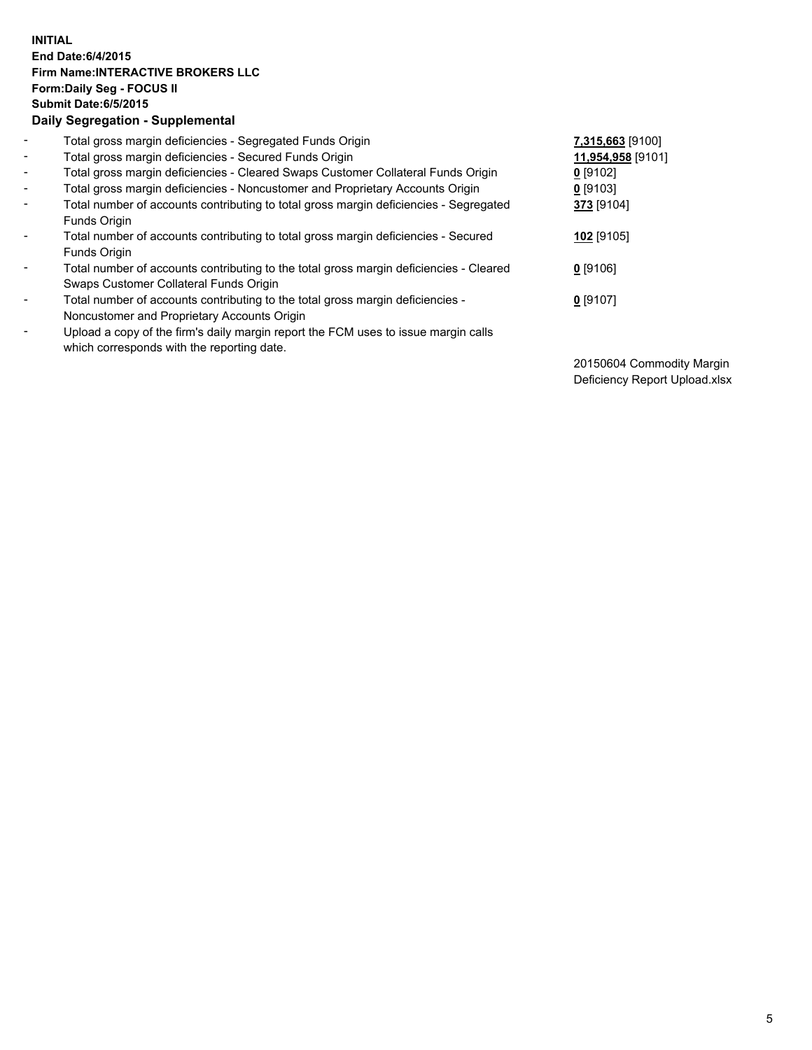## **INITIAL End Date:6/4/2015 Firm Name:INTERACTIVE BROKERS LLC Form:Daily Seg - FOCUS II Submit Date:6/5/2015 Daily Segregation - Supplemental**

| $\blacksquare$           | Total gross margin deficiencies - Segregated Funds Origin                                                                        | 7,315,663 [9100]  |
|--------------------------|----------------------------------------------------------------------------------------------------------------------------------|-------------------|
| $\blacksquare$           | Total gross margin deficiencies - Secured Funds Origin                                                                           | 11,954,958 [9101] |
| $\blacksquare$           | Total gross margin deficiencies - Cleared Swaps Customer Collateral Funds Origin                                                 | $0$ [9102]        |
| $\blacksquare$           | Total gross margin deficiencies - Noncustomer and Proprietary Accounts Origin                                                    | 0 [9103]          |
| $\overline{\phantom{a}}$ | Total number of accounts contributing to total gross margin deficiencies - Segregated<br>Funds Origin                            | 373 [9104]        |
| $\blacksquare$           | Total number of accounts contributing to total gross margin deficiencies - Secured<br><b>Funds Origin</b>                        | 102 [9105]        |
| $\blacksquare$           | Total number of accounts contributing to the total gross margin deficiencies - Cleared<br>Swaps Customer Collateral Funds Origin | $0$ [9106]        |
| $\blacksquare$           | Total number of accounts contributing to the total gross margin deficiencies -<br>Noncustomer and Proprietary Accounts Origin    | $0$ [9107]        |
|                          | Upload a copy of the firm's daily margin report the FCM uses to issue margin calls<br>which corresponds with the reporting date. |                   |

20150604 Commodity Margin Deficiency Report Upload.xlsx